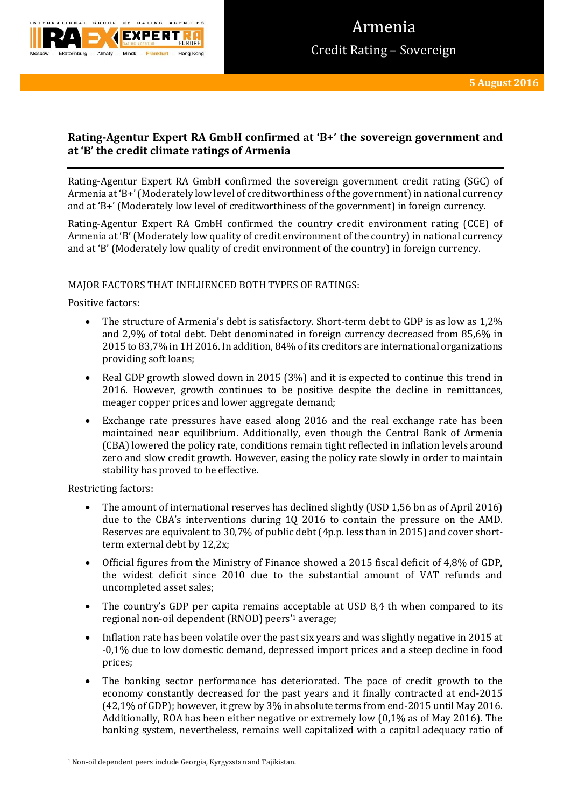

# **Rating-Agentur Expert RA GmbH confirmed at 'B+' the sovereign government and at 'B' the credit climate ratings of Armenia**

Rating-Agentur Expert RA GmbH confirmed the sovereign government credit rating (SGC) of Armenia at 'B+'(Moderately low level of creditworthiness of the government) in national currency and at 'B+' (Moderately low level of creditworthiness of the government) in foreign currency.

Rating-Agentur Expert RA GmbH confirmed the country credit environment rating (CCE) of Armenia at 'B' (Moderately low quality of credit environment of the country) in national currency and at 'B' (Moderately low quality of credit environment of the country) in foreign currency.

## MAJOR FACTORS THAT INFLUENCED BOTH TYPES OF RATINGS:

Positive factors:

- The structure of Armenia's debt is satisfactory. Short-term debt to GDP is as low as 1,2% and 2,9% of total debt. Debt denominated in foreign currency decreased from 85,6% in 2015 to 83,7% in 1H 2016. In addition, 84% of its creditors are international organizations providing soft loans;
- Real GDP growth slowed down in 2015 (3%) and it is expected to continue this trend in 2016. However, growth continues to be positive despite the decline in remittances, meager copper prices and lower aggregate demand;
- Exchange rate pressures have eased along 2016 and the real exchange rate has been maintained near equilibrium. Additionally, even though the Central Bank of Armenia (CBA) lowered the policy rate, conditions remain tight reflected in inflation levels around zero and slow credit growth. However, easing the policy rate slowly in order to maintain stability has proved to be effective.

Restricting factors:

**.** 

- The amount of international reserves has declined slightly (USD 1,56 bn as of April 2016) due to the CBA's interventions during 1Q 2016 to contain the pressure on the AMD. Reserves are equivalent to 30,7% of public debt (4p.p. less than in 2015) and cover shortterm external debt by 12,2x;
- Official figures from the Ministry of Finance showed a 2015 fiscal deficit of 4,8% of GDP, the widest deficit since 2010 due to the substantial amount of VAT refunds and uncompleted asset sales;
- The country's GDP per capita remains acceptable at USD 8,4 th when compared to its regional non-oil dependent (RNOD) peers'<sup>1</sup> average;
- Inflation rate has been volatile over the past six years and was slightly negative in 2015 at -0,1% due to low domestic demand, depressed import prices and a steep decline in food prices;
- The banking sector performance has deteriorated. The pace of credit growth to the economy constantly decreased for the past years and it finally contracted at end-2015 (42,1% of GDP); however, it grew by 3% in absolute terms from end-2015 until May 2016. Additionally, ROA has been either negative or extremely low (0,1% as of May 2016). The banking system, nevertheless, remains well capitalized with a capital adequacy ratio of

<sup>1</sup> Non-oil dependent peers include Georgia, Kyrgyzstan and Tajikistan.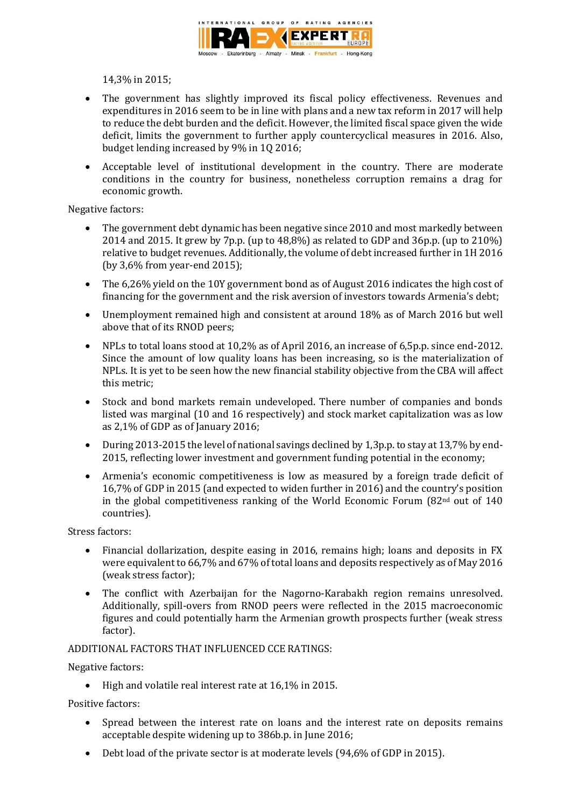

14,3% in 2015;

- The government has slightly improved its fiscal policy effectiveness. Revenues and expenditures in 2016 seem to be in line with plans and a new tax reform in 2017 will help to reduce the debt burden and the deficit. However, the limited fiscal space given the wide deficit, limits the government to further apply countercyclical measures in 2016. Also, budget lending increased by 9% in 1Q 2016;
- Acceptable level of institutional development in the country. There are moderate conditions in the country for business, nonetheless corruption remains a drag for economic growth.

Negative factors:

- The government debt dynamic has been negative since 2010 and most markedly between 2014 and 2015. It grew by 7p.p. (up to 48,8%) as related to GDP and 36p.p. (up to 210%) relative to budget revenues. Additionally, the volume of debt increased further in 1H 2016 (by 3,6% from year-end 2015);
- The 6,26% yield on the 10Y government bond as of August 2016 indicates the high cost of financing for the government and the risk aversion of investors towards Armenia's debt;
- Unemployment remained high and consistent at around 18% as of March 2016 but well above that of its RNOD peers;
- NPLs to total loans stood at 10,2% as of April 2016, an increase of 6,5p.p. since end-2012. Since the amount of low quality loans has been increasing, so is the materialization of NPLs. It is yet to be seen how the new financial stability objective from the CBA will affect this metric;
- Stock and bond markets remain undeveloped. There number of companies and bonds listed was marginal (10 and 16 respectively) and stock market capitalization was as low as 2,1% of GDP as of January 2016;
- During 2013-2015 the level of national savings declined by 1,3p.p. to stay at 13,7% by end-2015, reflecting lower investment and government funding potential in the economy;
- Armenia's economic competitiveness is low as measured by a foreign trade deficit of 16,7% of GDP in 2015 (and expected to widen further in 2016) and the country's position in the global competitiveness ranking of the World Economic Forum  $(82<sup>nd</sup>$  out of 140 countries).

Stress factors:

- Financial dollarization, despite easing in 2016, remains high; loans and deposits in FX were equivalent to 66,7% and 67% of total loans and deposits respectively as of May 2016 (weak stress factor);
- The conflict with Azerbaijan for the Nagorno-Karabakh region remains unresolved. Additionally, spill-overs from RNOD peers were reflected in the 2015 macroeconomic figures and could potentially harm the Armenian growth prospects further (weak stress factor).

## ADDITIONAL FACTORS THAT INFLUENCED CCE RATINGS:

Negative factors:

High and volatile real interest rate at 16,1% in 2015.

Positive factors:

- Spread between the interest rate on loans and the interest rate on deposits remains acceptable despite widening up to 386b.p. in June 2016;
- Debt load of the private sector is at moderate levels (94,6% of GDP in 2015).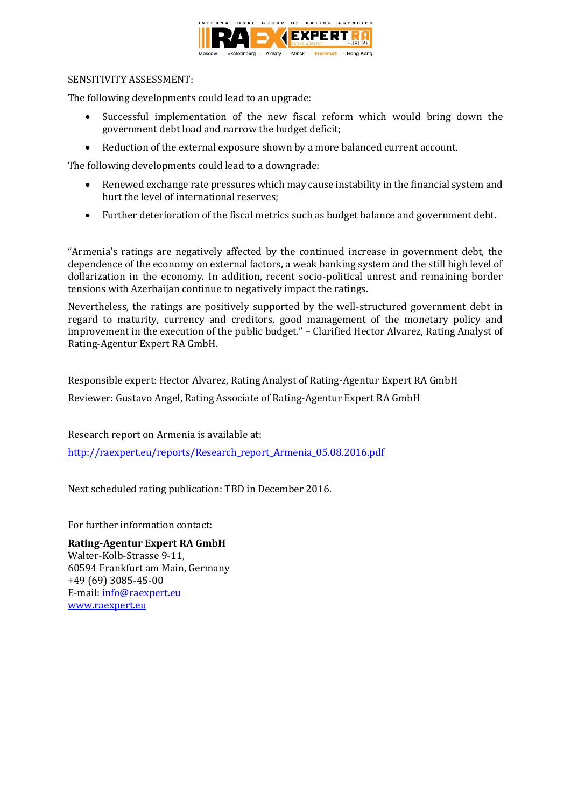

### SENSITIVITY ASSESSMENT:

The following developments could lead to an upgrade:

- Successful implementation of the new fiscal reform which would bring down the government debt load and narrow the budget deficit;
- Reduction of the external exposure shown by a more balanced current account.

The following developments could lead to a downgrade:

- Renewed exchange rate pressures which may cause instability in the financial system and hurt the level of international reserves;
- Further deterioration of the fiscal metrics such as budget balance and government debt.

"Armenia's ratings are negatively affected by the continued increase in government debt, the dependence of the economy on external factors, a weak banking system and the still high level of dollarization in the economy. In addition, recent socio-political unrest and remaining border tensions with Azerbaijan continue to negatively impact the ratings.

Nevertheless, the ratings are positively supported by the well-structured government debt in regard to maturity, currency and creditors, good management of the monetary policy and improvement in the execution of the public budget." – Clarified Hector Alvarez, Rating Analyst of Rating-Agentur Expert RA GmbH.

Responsible expert: Hector Alvarez, Rating Analyst of Rating-Agentur Expert RA GmbH

Reviewer: Gustavo Angel, Rating Associate of Rating-Agentur Expert RA GmbH

Research report on Armenia is available at:

[http://raexpert.eu/reports/Research\\_report\\_Armenia\\_05.08.2016.pdf](http://raexpert.eu/reports/Research_report_Armenia_05.08.2016.pdf)

Next scheduled rating publication: TBD in December 2016.

For further information contact:

**Rating-Agentur Expert RA GmbH** Walter-Kolb-Strasse 9-11, 60594 Frankfurt am Main, Germany +49 (69) 3085-45-00 E-mail[: info@raexpert.eu](mailto:info@raexpert.eu) [www.raexpert.eu](http://raexpert.eu/)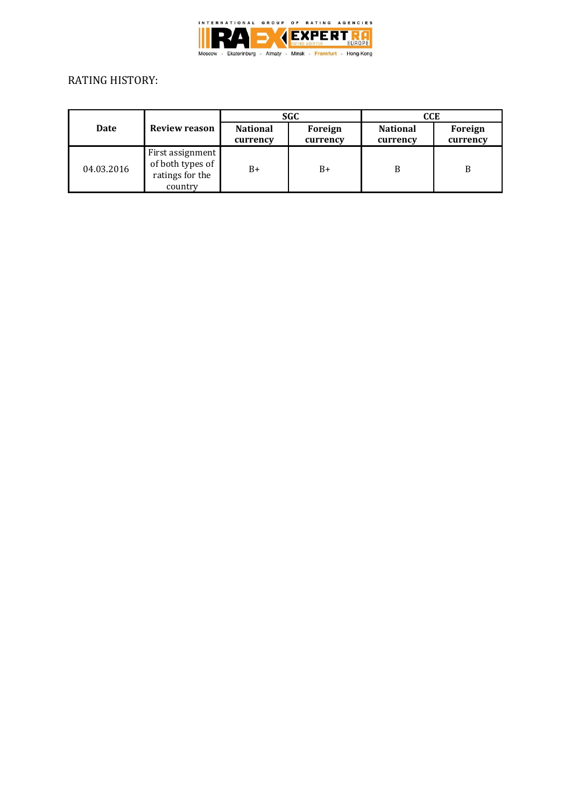

# RATING HISTORY:

| Date       | Review reason                                                      | <b>SGC</b>                  |                     | CCE                         |                     |
|------------|--------------------------------------------------------------------|-----------------------------|---------------------|-----------------------------|---------------------|
|            |                                                                    | <b>National</b><br>currency | Foreign<br>currency | <b>National</b><br>currency | Foreign<br>currency |
| 04.03.2016 | First assignment<br>of both types of<br>ratings for the<br>country | B+                          | $B+$                | B                           | B                   |